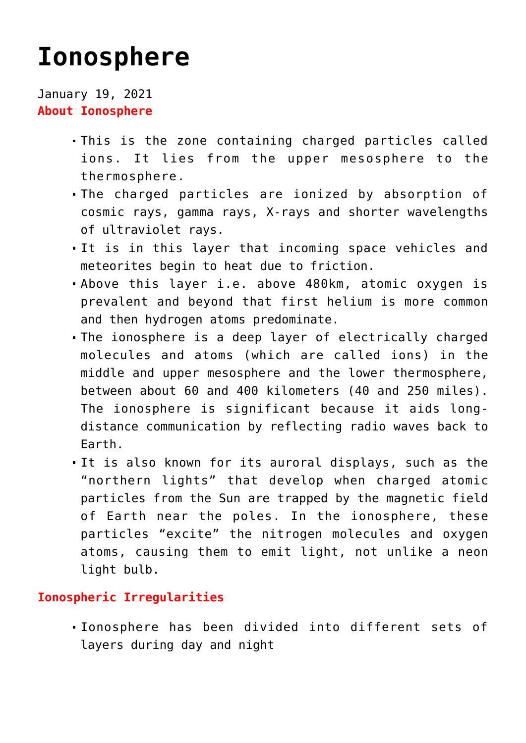# **[Ionosphere](https://journalsofindia.com/ionosphere/)**

January 19, 2021 **About Ionosphere**

- This is the zone containing charged particles called ions. It lies from the upper mesosphere to the thermosphere.
- The charged particles are ionized by absorption of cosmic rays, gamma rays, X-rays and shorter wavelengths of ultraviolet rays.
- It is in this layer that incoming space vehicles and meteorites begin to heat due to friction.
- Above this layer i.e. above 480km, atomic oxygen is prevalent and beyond that first helium is more common and then hydrogen atoms predominate.
- The ionosphere is a deep layer of electrically charged molecules and atoms (which are called ions) in the middle and upper mesosphere and the lower thermosphere, between about 60 and 400 kilometers (40 and 250 miles). The ionosphere is significant because it aids longdistance communication by reflecting radio waves back to Earth.
- It is also known for its auroral displays, such as the "northern lights" that develop when charged atomic particles from the Sun are trapped by the magnetic field of Earth near the poles. In the ionosphere, these particles "excite" the nitrogen molecules and oxygen atoms, causing them to emit light, not unlike a neon light bulb.

# **Ionospheric Irregularities**

Ionosphere has been divided into different sets of layers during day and night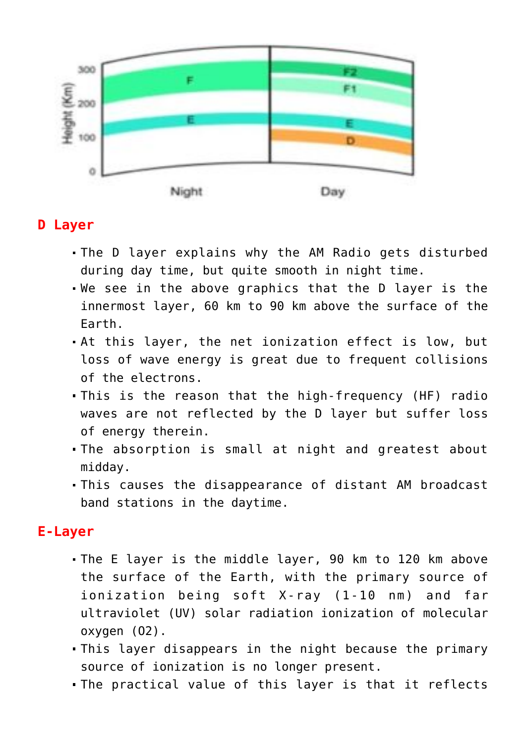

# **D Layer**

- The D layer explains why the AM Radio gets disturbed during day time, but quite smooth in night time.
- We see in the above graphics that the D layer is the innermost layer, 60 km to 90 km above the surface of the Earth.
- At this layer, the net ionization effect is low, but loss of wave energy is great due to frequent collisions of the electrons.
- This is the reason that the high-frequency (HF) radio waves are not reflected by the D layer but suffer loss of energy therein.
- The absorption is small at night and greatest about midday.
- This causes the disappearance of distant AM broadcast band stations in the daytime.

# **E-Layer**

- The E layer is the middle layer, 90 km to 120 km above the surface of the Earth, with the primary source of ionization being soft X-ray (1-10 nm) and far ultraviolet (UV) solar radiation ionization of molecular oxygen (O2).
- This layer disappears in the night because the primary source of ionization is no longer present.
- The practical value of this layer is that it reflects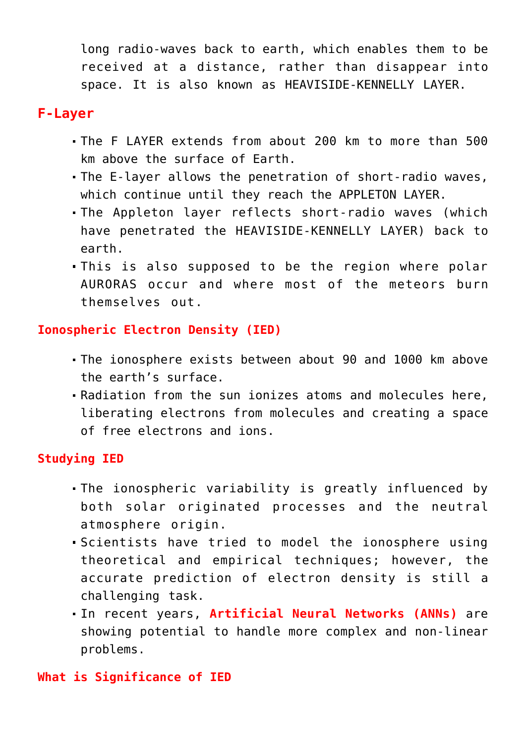long radio-waves back to earth, which enables them to be received at a distance, rather than disappear into space. It is also known as HEAVISIDE-KENNELLY LAYER.

### **F-Layer**

- The F LAYER extends from about 200 km to more than 500 km above the surface of Earth.
- The E-layer allows the penetration of short-radio waves, which continue until they reach the APPLETON LAYER.
- The Appleton layer reflects short-radio waves (which have penetrated the HEAVISIDE-KENNELLY LAYER) back to earth.
- This is also supposed to be the region where polar AURORAS occur and where most of the meteors burn themselves out.

### **Ionospheric Electron Density (IED)**

- The ionosphere exists between about 90 and 1000 km above the earth's surface.
- Radiation from the sun ionizes atoms and molecules here, liberating electrons from molecules and creating a space of free electrons and ions.

## **Studying IED**

- The ionospheric variability is greatly influenced by both solar originated processes and the neutral atmosphere origin.
- Scientists have tried to model the ionosphere using theoretical and empirical techniques; however, the accurate prediction of electron density is still a challenging task.
- In recent years, **Artificial Neural Networks (ANNs)** are showing potential to handle more complex and non-linear problems.

#### **What is Significance of IED**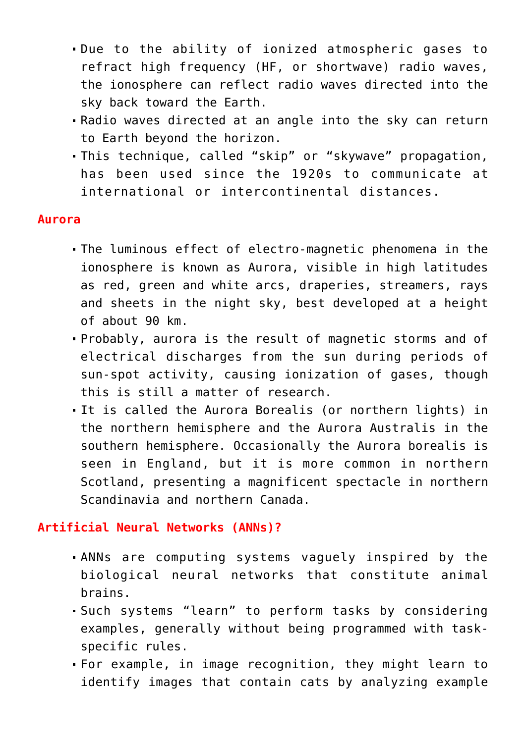- Due to the ability of ionized atmospheric gases to refract high frequency (HF, or shortwave) radio waves, the ionosphere can reflect radio waves directed into the sky back toward the Earth.
- Radio waves directed at an angle into the sky can return to Earth beyond the horizon.
- This technique, called "skip" or "skywave" propagation, has been used since the 1920s to communicate at international or intercontinental distances.

#### **Aurora**

- The luminous effect of electro-magnetic phenomena in the ionosphere is known as Aurora, visible in high latitudes as red, green and white arcs, draperies, streamers, rays and sheets in the night sky, best developed at a height of about 90 km.
- Probably, aurora is the result of magnetic storms and of electrical discharges from the sun during periods of sun-spot activity, causing ionization of gases, though this is still a matter of research.
- It is called the Aurora Borealis (or northern lights) in the northern hemisphere and the Aurora Australis in the southern hemisphere. Occasionally the Aurora borealis is seen in England, but it is more common in northern Scotland, presenting a magnificent spectacle in northern Scandinavia and northern Canada.

#### **Artificial Neural Networks (ANNs)?**

- ANNs are computing systems vaguely inspired by the biological neural networks that constitute animal brains.
- Such systems "learn" to perform tasks by considering examples, generally without being programmed with taskspecific rules.
- For example, in image recognition, they might learn to identify images that contain cats by analyzing example